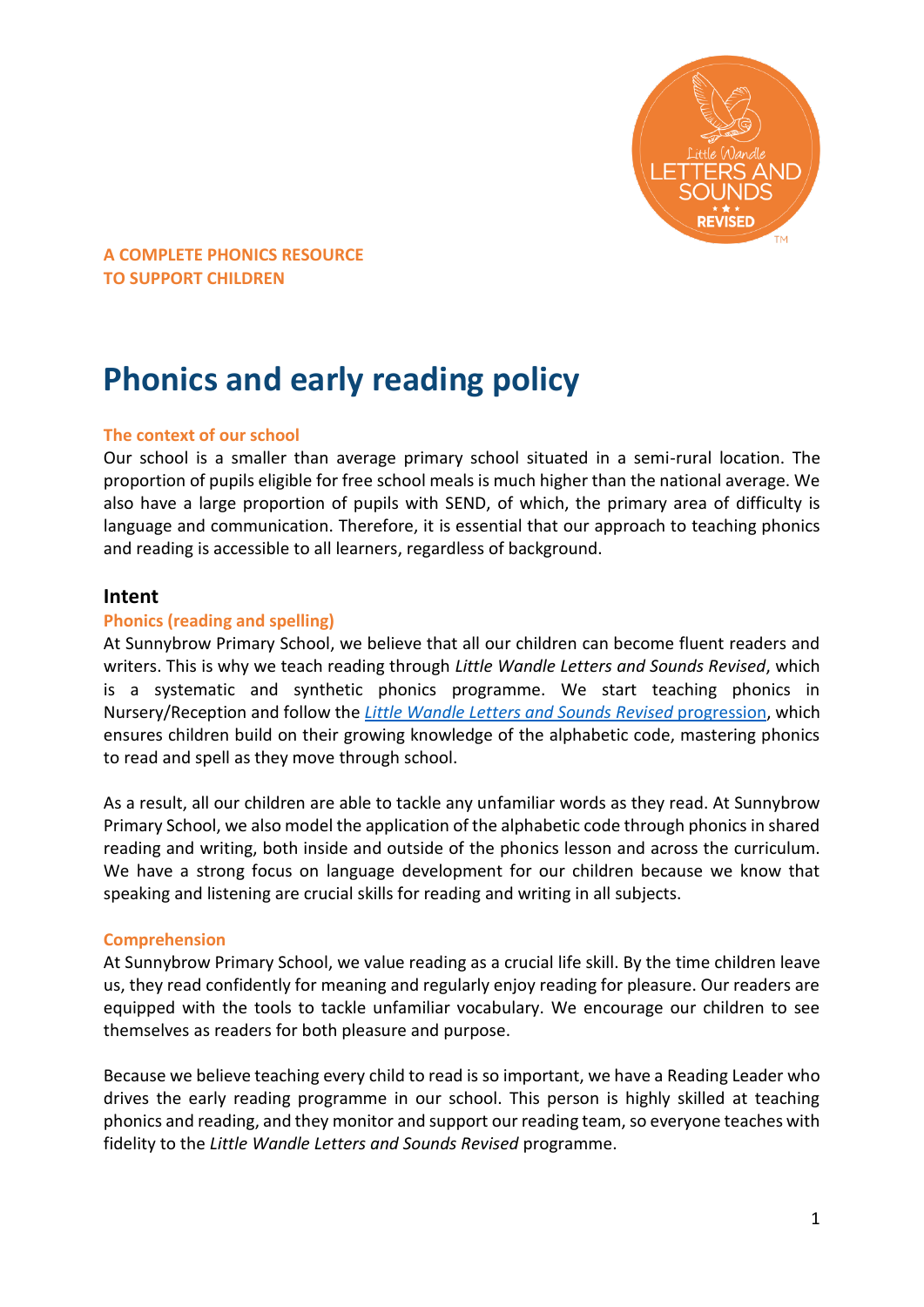

# **Phonics and early reading policy**

## **The context of our school**

Our school is a smaller than average primary school situated in a semi-rural location. The proportion of pupils eligible for free school meals is much higher than the national average. We also have a large proportion of pupils with SEND, of which, the primary area of difficulty is language and communication. Therefore, it is essential that our approach to teaching phonics and reading is accessible to all learners, regardless of background.

## **Intent**

## **Phonics (reading and spelling)**

At Sunnybrow Primary School, we believe that all our children can become fluent readers and writers. This is why we teach reading through *Little Wandle Letters and Sounds Revised*, which is a systematic and synthetic phonics programme. We start teaching phonics in Nursery/Reception and follow the *[Little Wandle Letters and Sounds Revised](https://www.littlewandlelettersandsounds.org.uk/wp-content/uploads/2021/06/Programme-Overview_Reception-and-Year-1.pdf)* progression, which ensures children build on their growing knowledge of the alphabetic code, mastering phonics to read and spell as they move through school.

As a result, all our children are able to tackle any unfamiliar words as they read. At Sunnybrow Primary School, we also model the application of the alphabetic code through phonics in shared reading and writing, both inside and outside of the phonics lesson and across the curriculum. We have a strong focus on language development for our children because we know that speaking and listening are crucial skills for reading and writing in all subjects.

## **Comprehension**

At Sunnybrow Primary School, we value reading as a crucial life skill. By the time children leave us, they read confidently for meaning and regularly enjoy reading for pleasure. Our readers are equipped with the tools to tackle unfamiliar vocabulary. We encourage our children to see themselves as readers for both pleasure and purpose.

Because we believe teaching every child to read is so important, we have a Reading Leader who drives the early reading programme in our school. This person is highly skilled at teaching phonics and reading, and they monitor and support our reading team, so everyone teaches with fidelity to the *Little Wandle Letters and Sounds Revised* programme.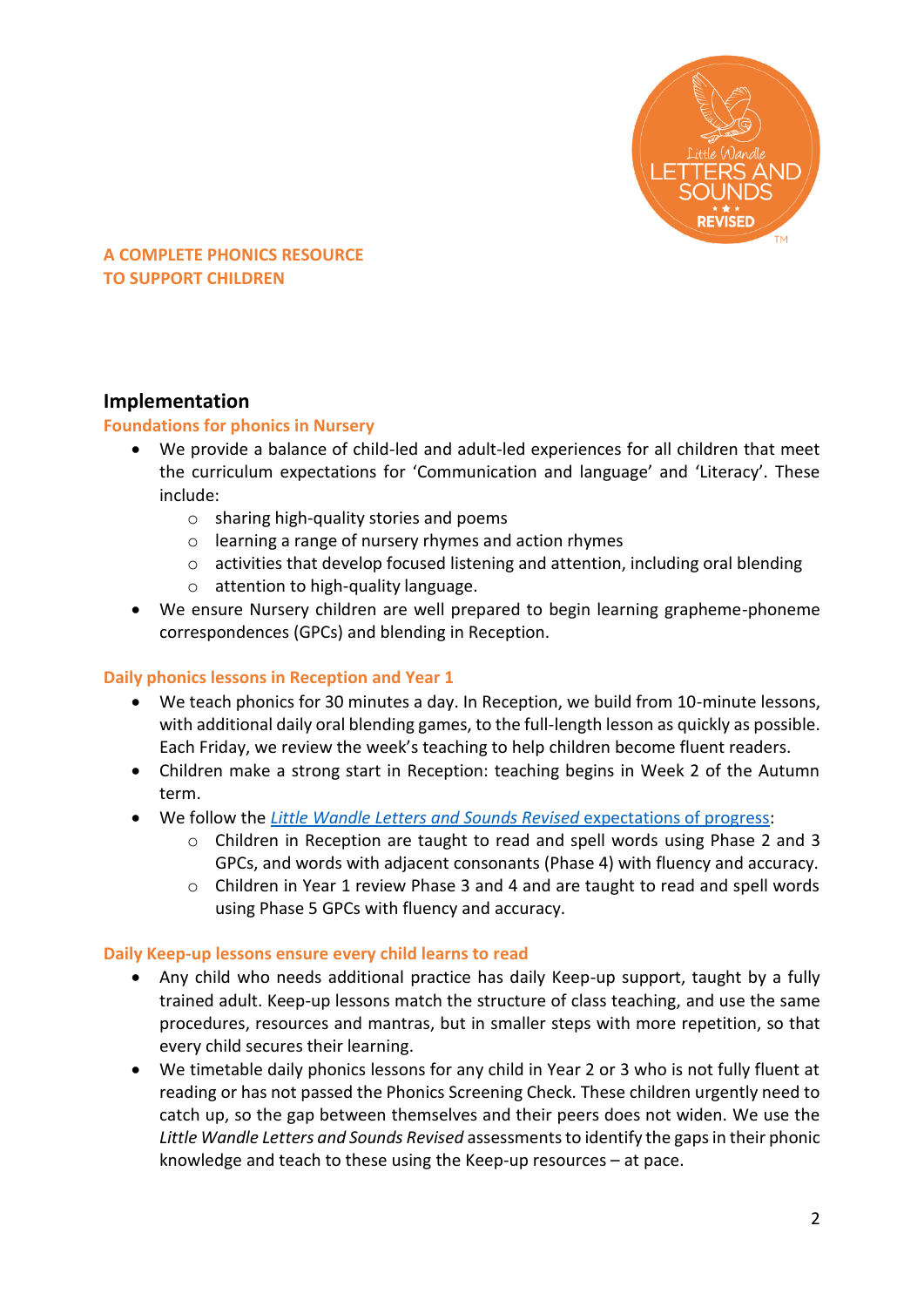

# **Implementation**

## **Foundations for phonics in Nursery**

- We provide a balance of child-led and adult-led experiences for all children that meet the curriculum expectations for 'Communication and language' and 'Literacy'. These include:
	- o sharing high-quality stories and poems
	- o learning a range of nursery rhymes and action rhymes
	- o activities that develop focused listening and attention, including oral blending
	- o attention to high-quality language.
- We ensure Nursery children are well prepared to begin learning grapheme-phoneme correspondences (GPCs) and blending in Reception.

## **Daily phonics lessons in Reception and Year 1**

- We teach phonics for 30 minutes a day. In Reception, we build from 10-minute lessons, with additional daily oral blending games, to the full-length lesson as quickly as possible. Each Friday, we review the week's teaching to help children become fluent readers.
- Children make a strong start in Reception: teaching begins in Week 2 of the Autumn term.
- We follow the *[Little Wandle Letters and Sounds Revised](https://www.littlewandlelettersandsounds.org.uk/wp-content/uploads/2021/06/Programme-Overview_Reception-and-Year-1.pdf)* expectations of progress:
	- o Children in Reception are taught to read and spell words using Phase 2 and 3 GPCs, and words with adjacent consonants (Phase 4) with fluency and accuracy.
	- o Children in Year 1 review Phase 3 and 4 and are taught to read and spell words using Phase 5 GPCs with fluency and accuracy.

## **Daily Keep-up lessons ensure every child learns to read**

- Any child who needs additional practice has daily Keep-up support, taught by a fully trained adult. Keep-up lessons match the structure of class teaching, and use the same procedures, resources and mantras, but in smaller steps with more repetition, so that every child secures their learning.
- We timetable daily phonics lessons for any child in Year 2 or 3 who is not fully fluent at reading or has not passed the Phonics Screening Check. These children urgently need to catch up, so the gap between themselves and their peers does not widen. We use the *Little Wandle Letters and Sounds Revised* assessments to identify the gaps in their phonic knowledge and teach to these using the Keep-up resources – at pace.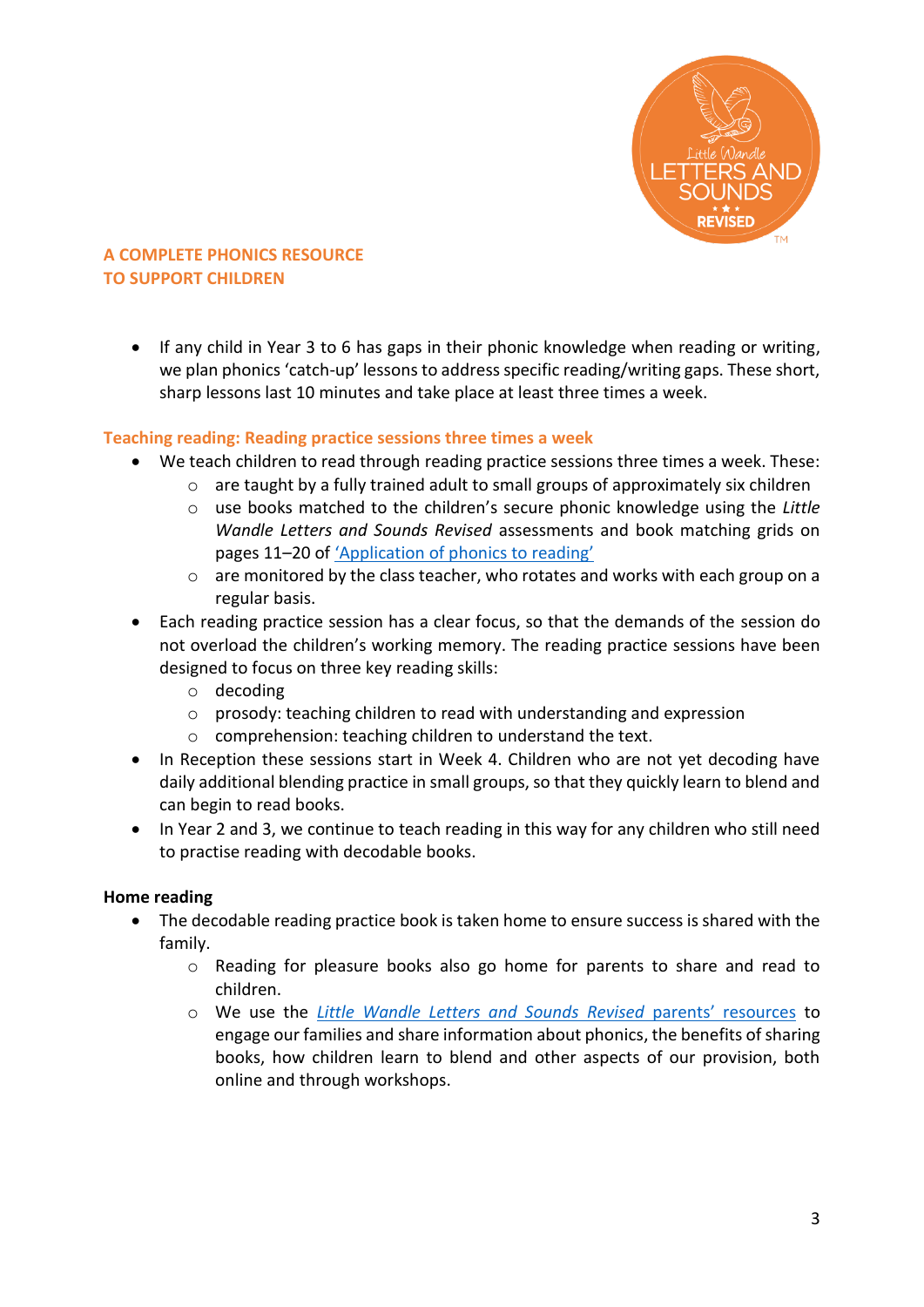

• If any child in Year 3 to 6 has gaps in their phonic knowledge when reading or writing, we plan phonics 'catch-up' lessons to address specific reading/writing gaps. These short, sharp lessons last 10 minutes and take place at least three times a week.

## **Teaching reading: Reading practice sessions three times a week**

- We teach children to read through reading practice sessions three times a week. These:
	- $\circ$  are taught by a fully trained adult to small groups of approximately six children
	- o use books matched to the children's secure phonic knowledge using the *Little Wandle Letters and Sounds Revised* assessments and book matching grids on pages 11–20 of ['Application of phonics to reading'](https://www.littlewandlelettersandsounds.org.uk/wp-content/uploads/2021/03/LS-KEY-GUIDANCE-APPLICATION-OF-PHONICS-FINAL-1.pdf)
	- o are monitored by the class teacher, who rotates and works with each group on a regular basis.
- Each reading practice session has a clear focus, so that the demands of the session do not overload the children's working memory. The reading practice sessions have been designed to focus on three key reading skills:
	- o decoding
	- $\circ$  prosody: teaching children to read with understanding and expression
	- o comprehension: teaching children to understand the text.
- In Reception these sessions start in Week 4. Children who are not yet decoding have daily additional blending practice in small groups, so that they quickly learn to blend and can begin to read books.
- In Year 2 and 3, we continue to teach reading in this way for any children who still need to practise reading with decodable books.

## **Home reading**

- The decodable reading practice book is taken home to ensure success is shared with the family.
	- o Reading for pleasure books also go home for parents to share and read to children.
	- o We use the *[Little Wandle Letters and Sounds Revised](https://www.littlewandlelettersandsounds.org.uk/resources/for-parents/)* parents' resources to engage our families and share information about phonics, the benefits of sharing books, how children learn to blend and other aspects of our provision, both online and through workshops.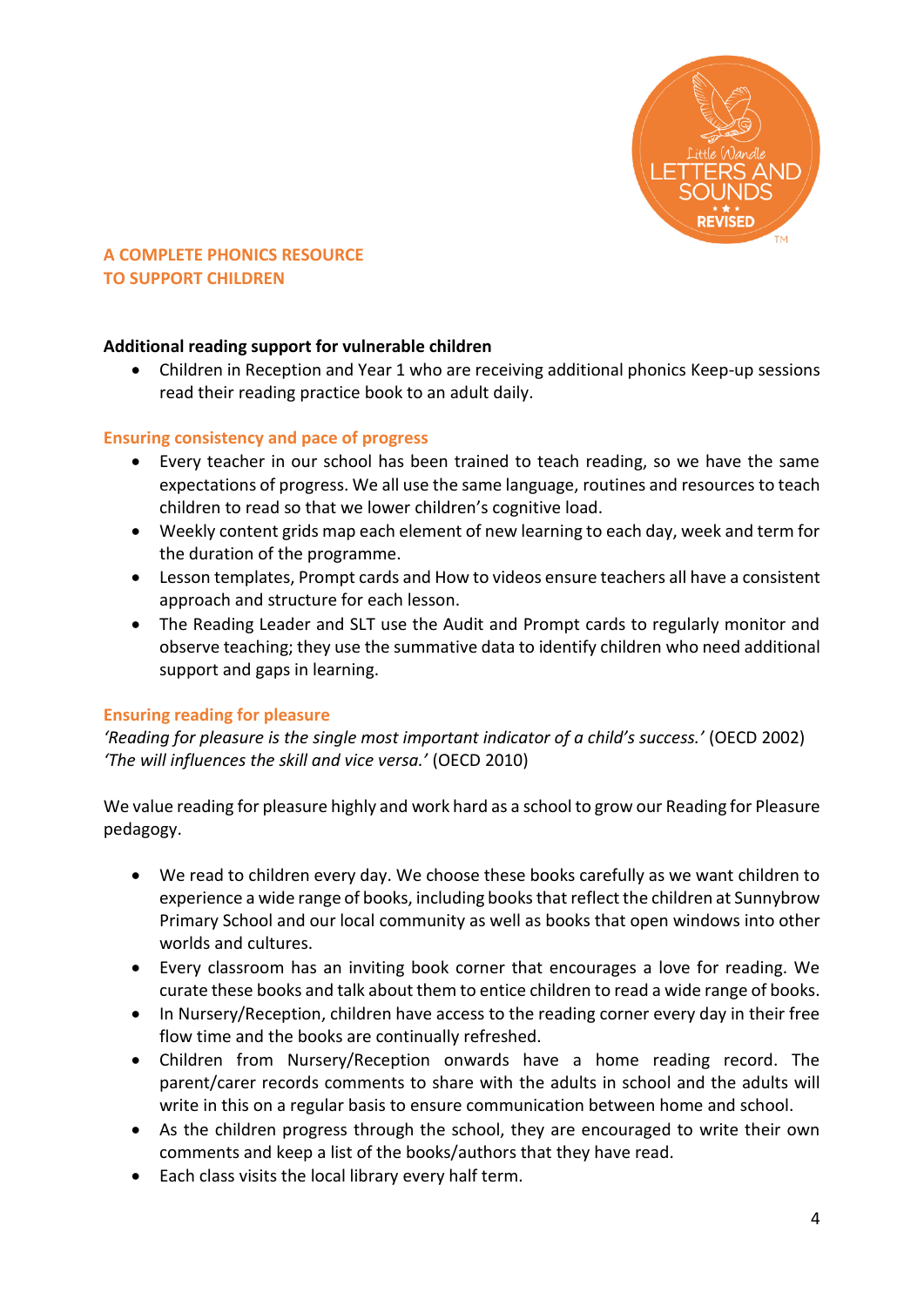

## **Additional reading support for vulnerable children**

 Children in Reception and Year 1 who are receiving additional phonics Keep-up sessions read their reading practice book to an adult daily.

## **Ensuring consistency and pace of progress**

- Every teacher in our school has been trained to teach reading, so we have the same expectations of progress. We all use the same language, routines and resources to teach children to read so that we lower children's cognitive load.
- Weekly content grids map each element of new learning to each day, week and term for the duration of the programme.
- Lesson templates, Prompt cards and How to videos ensure teachers all have a consistent approach and structure for each lesson.
- The Reading Leader and SLT use the Audit and Prompt cards to regularly monitor and observe teaching; they use the summative data to identify children who need additional support and gaps in learning.

## **Ensuring reading for pleasure**

*'Reading for pleasure is the single most important indicator of a child's success.'* (OECD 2002) *'The will influences the skill and vice versa.'* (OECD 2010)

We value reading for pleasure highly and work hard as a school to grow our Reading for Pleasure pedagogy.

- We read to children every day. We choose these books carefully as we want children to experience a wide range of books, including booksthat reflect the children at Sunnybrow Primary School and our local community as well as books that open windows into other worlds and cultures.
- Every classroom has an inviting book corner that encourages a love for reading. We curate these books and talk about them to entice children to read a wide range of books.
- In Nursery/Reception, children have access to the reading corner every day in their free flow time and the books are continually refreshed.
- Children from Nursery/Reception onwards have a home reading record. The parent/carer records comments to share with the adults in school and the adults will write in this on a regular basis to ensure communication between home and school.
- As the children progress through the school, they are encouraged to write their own comments and keep a list of the books/authors that they have read.
- Each class visits the local library every half term.